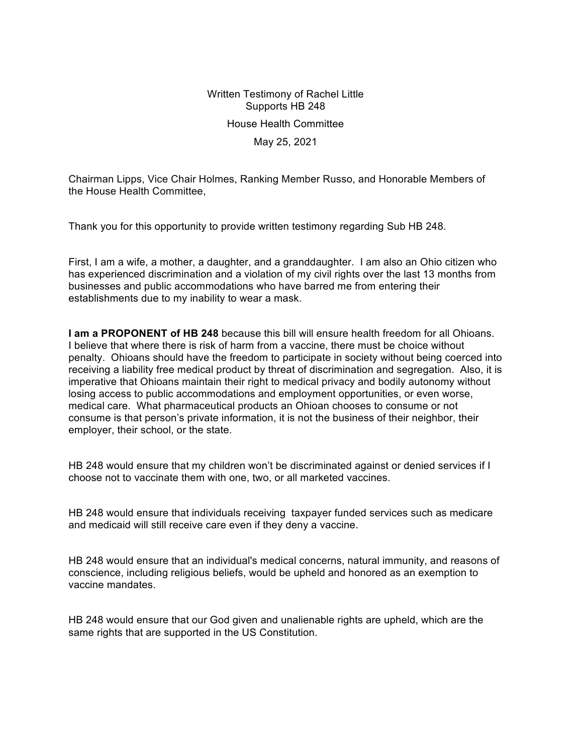Written Testimony of Rachel Little Supports HB 248 House Health Committee May 25, 2021

Chairman Lipps, Vice Chair Holmes, Ranking Member Russo, and Honorable Members of the House Health Committee,

Thank you for this opportunity to provide written testimony regarding Sub HB 248.

First, I am a wife, a mother, a daughter, and a granddaughter. I am also an Ohio citizen who has experienced discrimination and a violation of my civil rights over the last 13 months from businesses and public accommodations who have barred me from entering their establishments due to my inability to wear a mask.

**I am a PROPONENT of HB 248** because this bill will ensure health freedom for all Ohioans. I believe that where there is risk of harm from a vaccine, there must be choice without penalty. Ohioans should have the freedom to participate in society without being coerced into receiving a liability free medical product by threat of discrimination and segregation. Also, it is imperative that Ohioans maintain their right to medical privacy and bodily autonomy without losing access to public accommodations and employment opportunities, or even worse, medical care. What pharmaceutical products an Ohioan chooses to consume or not consume is that person's private information, it is not the business of their neighbor, their employer, their school, or the state.

HB 248 would ensure that my children won't be discriminated against or denied services if I choose not to vaccinate them with one, two, or all marketed vaccines.

HB 248 would ensure that individuals receiving taxpayer funded services such as medicare and medicaid will still receive care even if they deny a vaccine.

HB 248 would ensure that an individual's medical concerns, natural immunity, and reasons of conscience, including religious beliefs, would be upheld and honored as an exemption to vaccine mandates.

HB 248 would ensure that our God given and unalienable rights are upheld, which are the same rights that are supported in the US Constitution.